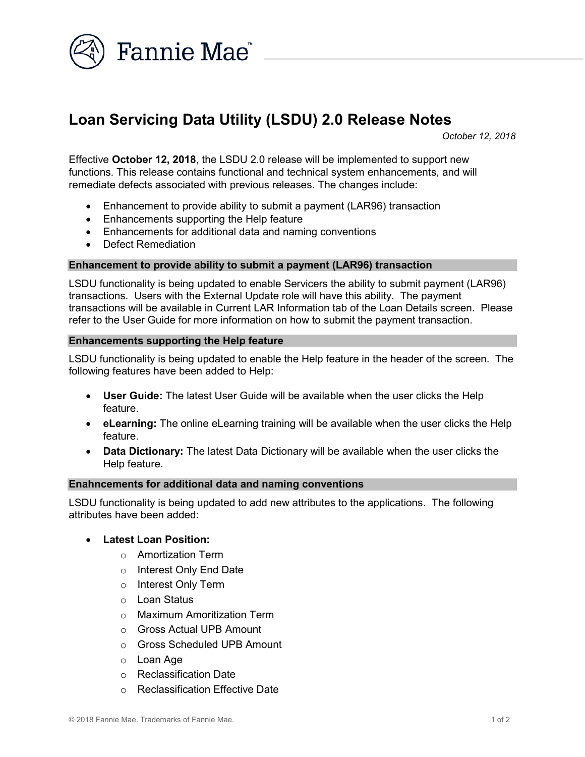

# Loan Servicing Data Utility (LSDU) 2.0 Release Notes

October 12, 2018

Effective October 12, 2018, the LSDU 2.0 release will be implemented to support new functions. This release contains functional and technical system enhancements, and will remediate defects associated with previous releases. The changes include:

- Enhancement to provide ability to submit a payment (LAR96) transaction
- Enhancements supporting the Help feature
- Enhancements for additional data and naming conventions
- Defect Remediation

#### Enhancement to provide ability to submit a payment (LAR96) transaction

LSDU functionality is being updated to enable Servicers the ability to submit payment (LAR96) transactions. Users with the External Update role will have this ability. The payment transactions will be available in Current LAR Information tab of the Loan Details screen. Please refer to the User Guide for more information on how to submit the payment transaction.

#### Enhancements supporting the Help feature

LSDU functionality is being updated to enable the Help feature in the header of the screen. The following features have been added to Help:

- User Guide: The latest User Guide will be available when the user clicks the Help feature.
- eLearning: The online eLearning training will be available when the user clicks the Help feature.
- Data Dictionary: The latest Data Dictionary will be available when the user clicks the Help feature.

#### Enahncements for additional data and naming conventions

LSDU functionality is being updated to add new attributes to the applications. The following attributes have been added:

## Latest Loan Position:

- o Amortization Term
- o Interest Only End Date
- o Interest Only Term
- o Loan Status
- o Maximum Amoritization Term
- o Gross Actual UPB Amount
- o Gross Scheduled UPB Amount
- o Loan Age
- o Reclassification Date
- o Reclassification Effective Date